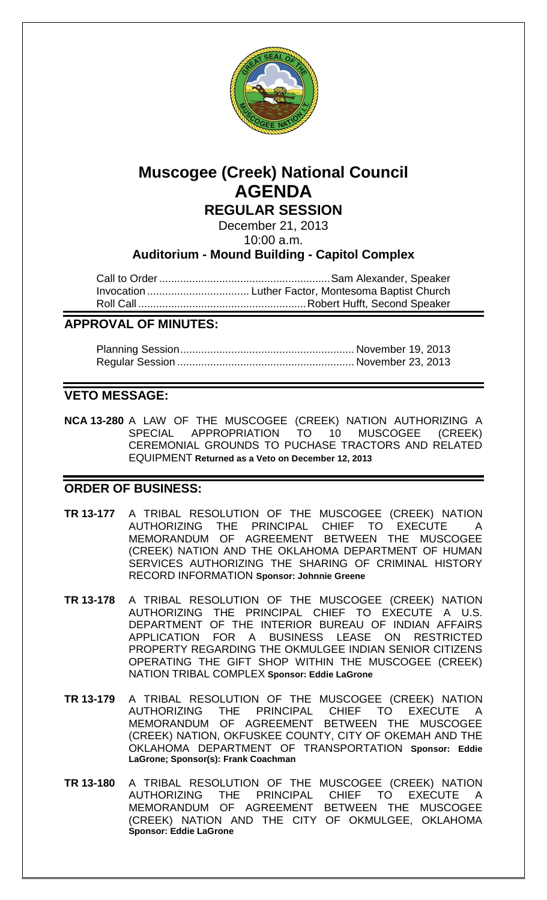

# **Muscogee (Creek) National Council AGENDA**

**REGULAR SESSION**

December 21, 2013

10:00 a.m.

**Auditorium - Mound Building - Capitol Complex**

Call to Order.........................................................Sam Alexander, Speaker Invocation .................................. Luther Factor, Montesoma Baptist Church Roll Call ........................................................Robert Hufft, Second Speaker

## **APPROVAL OF MINUTES:**

## **VETO MESSAGE:**

**NCA 13-280** A LAW OF THE MUSCOGEE (CREEK) NATION AUTHORIZING A SPECIAL APPROPRIATION TO 10 MUSCOGEE (CREEK) CEREMONIAL GROUNDS TO PUCHASE TRACTORS AND RELATED EQUIPMENT **Returned as a Veto on December 12, 2013**

## **ORDER OF BUSINESS:**

- **TR 13-177** A TRIBAL RESOLUTION OF THE MUSCOGEE (CREEK) NATION AUTHORIZING THE PRINCIPAL CHIEF TO EXECUTE A MEMORANDUM OF AGREEMENT BETWEEN THE MUSCOGEE (CREEK) NATION AND THE OKLAHOMA DEPARTMENT OF HUMAN SERVICES AUTHORIZING THE SHARING OF CRIMINAL HISTORY RECORD INFORMATION **Sponsor: Johnnie Greene**
- **TR 13-178** A TRIBAL RESOLUTION OF THE MUSCOGEE (CREEK) NATION AUTHORIZING THE PRINCIPAL CHIEF TO EXECUTE A U.S. DEPARTMENT OF THE INTERIOR BUREAU OF INDIAN AFFAIRS APPLICATION FOR A BUSINESS LEASE ON RESTRICTED PROPERTY REGARDING THE OKMULGEE INDIAN SENIOR CITIZENS OPERATING THE GIFT SHOP WITHIN THE MUSCOGEE (CREEK) NATION TRIBAL COMPLEX **Sponsor: Eddie LaGrone**
- **TR 13-179** A TRIBAL RESOLUTION OF THE MUSCOGEE (CREEK) NATION AUTHORIZING THE PRINCIPAL CHIEF TO EXECUTE A MEMORANDUM OF AGREEMENT BETWEEN THE MUSCOGEE (CREEK) NATION, OKFUSKEE COUNTY, CITY OF OKEMAH AND THE OKLAHOMA DEPARTMENT OF TRANSPORTATION **Sponsor: Eddie LaGrone; Sponsor(s): Frank Coachman**
- **TR 13-180** A TRIBAL RESOLUTION OF THE MUSCOGEE (CREEK) NATION AUTHORIZING THE PRINCIPAL CHIEF TO EXECUTE A MEMORANDUM OF AGREEMENT BETWEEN THE MUSCOGEE (CREEK) NATION AND THE CITY OF OKMULGEE, OKLAHOMA **Sponsor: Eddie LaGrone**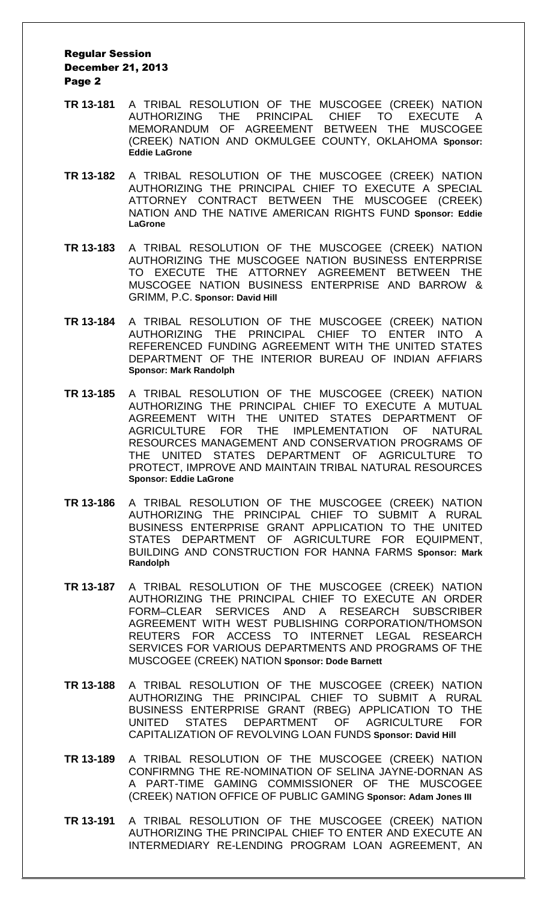- **TR 13-181** A TRIBAL RESOLUTION OF THE MUSCOGEE (CREEK) NATION AUTHORIZING THE PRINCIPAL CHIEF TO EXECUTE A MEMORANDUM OF AGREEMENT BETWEEN THE MUSCOGEE (CREEK) NATION AND OKMULGEE COUNTY, OKLAHOMA **Sponsor: Eddie LaGrone**
- **TR 13-182** A TRIBAL RESOLUTION OF THE MUSCOGEE (CREEK) NATION AUTHORIZING THE PRINCIPAL CHIEF TO EXECUTE A SPECIAL ATTORNEY CONTRACT BETWEEN THE MUSCOGEE (CREEK) NATION AND THE NATIVE AMERICAN RIGHTS FUND **Sponsor: Eddie LaGrone**
- **TR 13-183** A TRIBAL RESOLUTION OF THE MUSCOGEE (CREEK) NATION AUTHORIZING THE MUSCOGEE NATION BUSINESS ENTERPRISE TO EXECUTE THE ATTORNEY AGREEMENT BETWEEN THE MUSCOGEE NATION BUSINESS ENTERPRISE AND BARROW & GRIMM, P.C. **Sponsor: David Hill**
- **TR 13-184** A TRIBAL RESOLUTION OF THE MUSCOGEE (CREEK) NATION AUTHORIZING THE PRINCIPAL CHIEF TO ENTER INTO A REFERENCED FUNDING AGREEMENT WITH THE UNITED STATES DEPARTMENT OF THE INTERIOR BUREAU OF INDIAN AFFIARS **Sponsor: Mark Randolph**
- **TR 13-185** A TRIBAL RESOLUTION OF THE MUSCOGEE (CREEK) NATION AUTHORIZING THE PRINCIPAL CHIEF TO EXECUTE A MUTUAL AGREEMENT WITH THE UNITED STATES DEPARTMENT OF AGRICULTURE FOR THE IMPLEMENTATION OF NATURAL RESOURCES MANAGEMENT AND CONSERVATION PROGRAMS OF THE UNITED STATES DEPARTMENT OF AGRICULTURE TO PROTECT, IMPROVE AND MAINTAIN TRIBAL NATURAL RESOURCES **Sponsor: Eddie LaGrone**
- **TR 13-186** A TRIBAL RESOLUTION OF THE MUSCOGEE (CREEK) NATION AUTHORIZING THE PRINCIPAL CHIEF TO SUBMIT A RURAL BUSINESS ENTERPRISE GRANT APPLICATION TO THE UNITED STATES DEPARTMENT OF AGRICULTURE FOR EQUIPMENT, BUILDING AND CONSTRUCTION FOR HANNA FARMS **Sponsor: Mark Randolph**
- **TR 13-187** A TRIBAL RESOLUTION OF THE MUSCOGEE (CREEK) NATION AUTHORIZING THE PRINCIPAL CHIEF TO EXECUTE AN ORDER FORM–CLEAR SERVICES AND A RESEARCH SUBSCRIBER AGREEMENT WITH WEST PUBLISHING CORPORATION/THOMSON REUTERS FOR ACCESS TO INTERNET LEGAL RESEARCH SERVICES FOR VARIOUS DEPARTMENTS AND PROGRAMS OF THE MUSCOGEE (CREEK) NATION **Sponsor: Dode Barnett**
- **TR 13-188** A TRIBAL RESOLUTION OF THE MUSCOGEE (CREEK) NATION AUTHORIZING THE PRINCIPAL CHIEF TO SUBMIT A RURAL BUSINESS ENTERPRISE GRANT (RBEG) APPLICATION TO THE UNITED STATES DEPARTMENT OF AGRICULTURE FOR CAPITALIZATION OF REVOLVING LOAN FUNDS **Sponsor: David Hill**
- **TR 13-189** A TRIBAL RESOLUTION OF THE MUSCOGEE (CREEK) NATION CONFIRMNG THE RE-NOMINATION OF SELINA JAYNE-DORNAN AS A PART-TIME GAMING COMMISSIONER OF THE MUSCOGEE (CREEK) NATION OFFICE OF PUBLIC GAMING **Sponsor: Adam Jones III**
- **TR 13-191** A TRIBAL RESOLUTION OF THE MUSCOGEE (CREEK) NATION AUTHORIZING THE PRINCIPAL CHIEF TO ENTER AND EXECUTE AN INTERMEDIARY RE-LENDING PROGRAM LOAN AGREEMENT, AN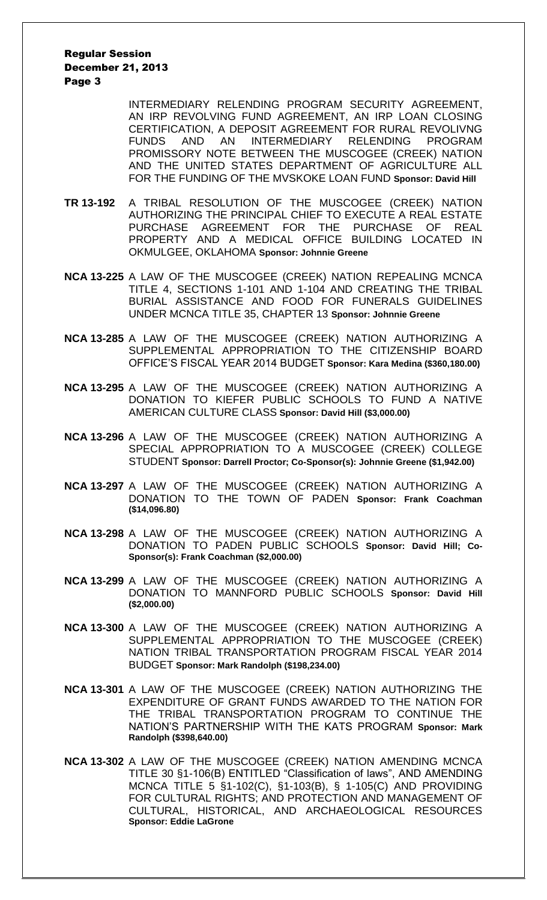INTERMEDIARY RELENDING PROGRAM SECURITY AGREEMENT, AN IRP REVOLVING FUND AGREEMENT, AN IRP LOAN CLOSING CERTIFICATION, A DEPOSIT AGREEMENT FOR RURAL REVOLIVNG FUNDS AND AN INTERMEDIARY RELENDING PROGRAM PROMISSORY NOTE BETWEEN THE MUSCOGEE (CREEK) NATION AND THE UNITED STATES DEPARTMENT OF AGRICULTURE ALL FOR THE FUNDING OF THE MVSKOKE LOAN FUND **Sponsor: David Hill**

- **TR 13-192** A TRIBAL RESOLUTION OF THE MUSCOGEE (CREEK) NATION AUTHORIZING THE PRINCIPAL CHIEF TO EXECUTE A REAL ESTATE PURCHASE AGREEMENT FOR THE PURCHASE OF REAL PROPERTY AND A MEDICAL OFFICE BUILDING LOCATED IN OKMULGEE, OKLAHOMA **Sponsor: Johnnie Greene**
- **NCA 13-225** A LAW OF THE MUSCOGEE (CREEK) NATION REPEALING MCNCA TITLE 4, SECTIONS 1-101 AND 1-104 AND CREATING THE TRIBAL BURIAL ASSISTANCE AND FOOD FOR FUNERALS GUIDELINES UNDER MCNCA TITLE 35, CHAPTER 13 **Sponsor: Johnnie Greene**
- **NCA 13-285** A LAW OF THE MUSCOGEE (CREEK) NATION AUTHORIZING A SUPPLEMENTAL APPROPRIATION TO THE CITIZENSHIP BOARD OFFICE'S FISCAL YEAR 2014 BUDGET **Sponsor: Kara Medina (\$360,180.00)**
- **NCA 13-295** A LAW OF THE MUSCOGEE (CREEK) NATION AUTHORIZING A DONATION TO KIEFER PUBLIC SCHOOLS TO FUND A NATIVE AMERICAN CULTURE CLASS **Sponsor: David Hill (\$3,000.00)**
- **NCA 13-296** A LAW OF THE MUSCOGEE (CREEK) NATION AUTHORIZING A SPECIAL APPROPRIATION TO A MUSCOGEE (CREEK) COLLEGE STUDENT **Sponsor: Darrell Proctor; Co-Sponsor(s): Johnnie Greene (\$1,942.00)**
- **NCA 13-297** A LAW OF THE MUSCOGEE (CREEK) NATION AUTHORIZING A DONATION TO THE TOWN OF PADEN **Sponsor: Frank Coachman (\$14,096.80)**
- **NCA 13-298** A LAW OF THE MUSCOGEE (CREEK) NATION AUTHORIZING A DONATION TO PADEN PUBLIC SCHOOLS **Sponsor: David Hill; Co-Sponsor(s): Frank Coachman (\$2,000.00)**
- **NCA 13-299** A LAW OF THE MUSCOGEE (CREEK) NATION AUTHORIZING A DONATION TO MANNFORD PUBLIC SCHOOLS **Sponsor: David Hill (\$2,000.00)**
- **NCA 13-300** A LAW OF THE MUSCOGEE (CREEK) NATION AUTHORIZING A SUPPLEMENTAL APPROPRIATION TO THE MUSCOGEE (CREEK) NATION TRIBAL TRANSPORTATION PROGRAM FISCAL YEAR 2014 BUDGET **Sponsor: Mark Randolph (\$198,234.00)**
- **NCA 13-301** A LAW OF THE MUSCOGEE (CREEK) NATION AUTHORIZING THE EXPENDITURE OF GRANT FUNDS AWARDED TO THE NATION FOR THE TRIBAL TRANSPORTATION PROGRAM TO CONTINUE THE NATION'S PARTNERSHIP WITH THE KATS PROGRAM **Sponsor: Mark Randolph (\$398,640.00)**
- **NCA 13-302** A LAW OF THE MUSCOGEE (CREEK) NATION AMENDING MCNCA TITLE 30 §1-106(B) ENTITLED "Classification of laws", AND AMENDING MCNCA TITLE 5 §1-102(C), §1-103(B), § 1-105(C) AND PROVIDING FOR CULTURAL RIGHTS; AND PROTECTION AND MANAGEMENT OF CULTURAL, HISTORICAL, AND ARCHAEOLOGICAL RESOURCES **Sponsor: Eddie LaGrone**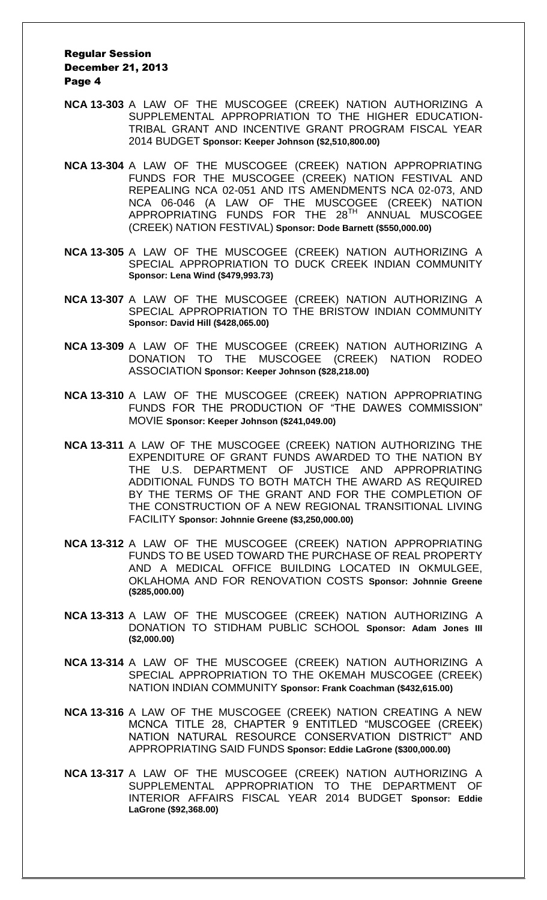- **NCA 13-303** A LAW OF THE MUSCOGEE (CREEK) NATION AUTHORIZING A SUPPLEMENTAL APPROPRIATION TO THE HIGHER EDUCATION-TRIBAL GRANT AND INCENTIVE GRANT PROGRAM FISCAL YEAR 2014 BUDGET **Sponsor: Keeper Johnson (\$2,510,800.00)**
- **NCA 13-304** A LAW OF THE MUSCOGEE (CREEK) NATION APPROPRIATING FUNDS FOR THE MUSCOGEE (CREEK) NATION FESTIVAL AND REPEALING NCA 02-051 AND ITS AMENDMENTS NCA 02-073, AND NCA 06-046 (A LAW OF THE MUSCOGEE (CREEK) NATION APPROPRIATING FUNDS FOR THE 28<sup>TH</sup> ANNUAL MUSCOGEE (CREEK) NATION FESTIVAL) **Sponsor: Dode Barnett (\$550,000.00)**
- **NCA 13-305** A LAW OF THE MUSCOGEE (CREEK) NATION AUTHORIZING A SPECIAL APPROPRIATION TO DUCK CREEK INDIAN COMMUNITY **Sponsor: Lena Wind (\$479,993.73)**
- **NCA 13-307** A LAW OF THE MUSCOGEE (CREEK) NATION AUTHORIZING A SPECIAL APPROPRIATION TO THE BRISTOW INDIAN COMMUNITY **Sponsor: David Hill (\$428,065.00)**
- **NCA 13-309** A LAW OF THE MUSCOGEE (CREEK) NATION AUTHORIZING A DONATION TO THE MUSCOGEE (CREEK) NATION RODEO ASSOCIATION **Sponsor: Keeper Johnson (\$28,218.00)**
- **NCA 13-310** A LAW OF THE MUSCOGEE (CREEK) NATION APPROPRIATING FUNDS FOR THE PRODUCTION OF "THE DAWES COMMISSION" MOVIE **Sponsor: Keeper Johnson (\$241,049.00)**
- **NCA 13-311** A LAW OF THE MUSCOGEE (CREEK) NATION AUTHORIZING THE EXPENDITURE OF GRANT FUNDS AWARDED TO THE NATION BY THE U.S. DEPARTMENT OF JUSTICE AND APPROPRIATING ADDITIONAL FUNDS TO BOTH MATCH THE AWARD AS REQUIRED BY THE TERMS OF THE GRANT AND FOR THE COMPLETION OF THE CONSTRUCTION OF A NEW REGIONAL TRANSITIONAL LIVING FACILITY **Sponsor: Johnnie Greene (\$3,250,000.00)**
- **NCA 13-312** A LAW OF THE MUSCOGEE (CREEK) NATION APPROPRIATING FUNDS TO BE USED TOWARD THE PURCHASE OF REAL PROPERTY AND A MEDICAL OFFICE BUILDING LOCATED IN OKMULGEE, OKLAHOMA AND FOR RENOVATION COSTS **Sponsor: Johnnie Greene (\$285,000.00)**
- **NCA 13-313** A LAW OF THE MUSCOGEE (CREEK) NATION AUTHORIZING A DONATION TO STIDHAM PUBLIC SCHOOL **Sponsor: Adam Jones III (\$2,000.00)**
- **NCA 13-314** A LAW OF THE MUSCOGEE (CREEK) NATION AUTHORIZING A SPECIAL APPROPRIATION TO THE OKEMAH MUSCOGEE (CREEK) NATION INDIAN COMMUNITY **Sponsor: Frank Coachman (\$432,615.00)**
- **NCA 13-316** A LAW OF THE MUSCOGEE (CREEK) NATION CREATING A NEW MCNCA TITLE 28, CHAPTER 9 ENTITLED "MUSCOGEE (CREEK) NATION NATURAL RESOURCE CONSERVATION DISTRICT" AND APPROPRIATING SAID FUNDS **Sponsor: Eddie LaGrone (\$300,000.00)**
- **NCA 13-317** A LAW OF THE MUSCOGEE (CREEK) NATION AUTHORIZING A SUPPLEMENTAL APPROPRIATION TO THE DEPARTMENT OF INTERIOR AFFAIRS FISCAL YEAR 2014 BUDGET **Sponsor: Eddie LaGrone (\$92,368.00)**